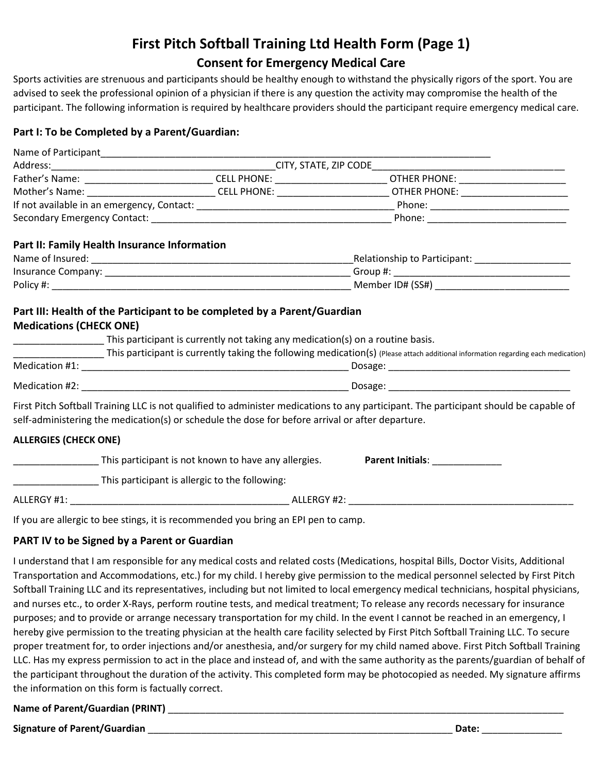# **First Pitch Softball Training Ltd Health Form (Page 1)**

### **Consent for Emergency Medical Care**

Sports activities are strenuous and participants should be healthy enough to withstand the physically rigors of the sport. You are advised to seek the professional opinion of a physician if there is any question the activity may compromise the health of the participant. The following information is required by healthcare providers should the participant require emergency medical care.

#### **Part I: To be Completed by a Parent/Guardian:**

|                                                |                                                                                                  | Mother's Name: _________________________________CELL PHONE: ___________________________OTHER PHONE: __________________________________ |
|------------------------------------------------|--------------------------------------------------------------------------------------------------|----------------------------------------------------------------------------------------------------------------------------------------|
|                                                |                                                                                                  |                                                                                                                                        |
|                                                |                                                                                                  |                                                                                                                                        |
| Part II: Family Health Insurance Information   |                                                                                                  |                                                                                                                                        |
|                                                |                                                                                                  |                                                                                                                                        |
|                                                |                                                                                                  |                                                                                                                                        |
|                                                |                                                                                                  |                                                                                                                                        |
|                                                |                                                                                                  | This participant is currently taking the following medication(s) (Please attach additional information regarding each medication)      |
|                                                |                                                                                                  |                                                                                                                                        |
|                                                |                                                                                                  |                                                                                                                                        |
|                                                | self-administering the medication(s) or schedule the dose for before arrival or after departure. | First Pitch Softball Training LLC is not qualified to administer medications to any participant. The participant should be capable of  |
| <b>ALLERGIES (CHECK ONE)</b>                   |                                                                                                  |                                                                                                                                        |
|                                                | ______________________This participant is not known to have any allergies.                       | <b>Parent Initials:</b>                                                                                                                |
| This participant is allergic to the following: |                                                                                                  |                                                                                                                                        |
|                                                |                                                                                                  |                                                                                                                                        |
|                                                | If you are allergic to bee stings, it is recommended you bring an EPI pen to camp.               |                                                                                                                                        |

#### **PART IV to be Signed by a Parent or Guardian**

I understand that I am responsible for any medical costs and related costs (Medications, hospital Bills, Doctor Visits, Additional Transportation and Accommodations, etc.) for my child. I hereby give permission to the medical personnel selected by First Pitch Softball Training LLC and its representatives, including but not limited to local emergency medical technicians, hospital physicians, and nurses etc., to order X-Rays, perform routine tests, and medical treatment; To release any records necessary for insurance purposes; and to provide or arrange necessary transportation for my child. In the event I cannot be reached in an emergency, I hereby give permission to the treating physician at the health care facility selected by First Pitch Softball Training LLC. To secure proper treatment for, to order injections and/or anesthesia, and/or surgery for my child named above. First Pitch Softball Training LLC. Has my express permission to act in the place and instead of, and with the same authority as the parents/guardian of behalf of the participant throughout the duration of the activity. This completed form may be photocopied as needed. My signature affirms the information on this form is factually correct.

#### **Name of Parent/Guardian (PRINT)** \_\_\_\_\_\_\_\_\_\_\_\_\_\_\_\_\_\_\_\_\_\_\_\_\_\_\_\_\_\_\_\_\_\_\_\_\_\_\_\_\_\_\_\_\_\_\_\_\_\_\_\_\_\_\_\_\_\_\_\_\_\_\_\_\_\_\_\_\_\_\_\_\_\_

**Signature of Parent/Guardian** \_\_\_\_\_\_\_\_\_\_\_\_\_\_\_\_\_\_\_\_\_\_\_\_\_\_\_\_\_\_\_\_\_\_\_\_\_\_\_\_\_\_\_\_\_\_\_\_\_\_\_\_\_\_\_\_\_ **Date:** \_\_\_\_\_\_\_\_\_\_\_\_\_\_\_